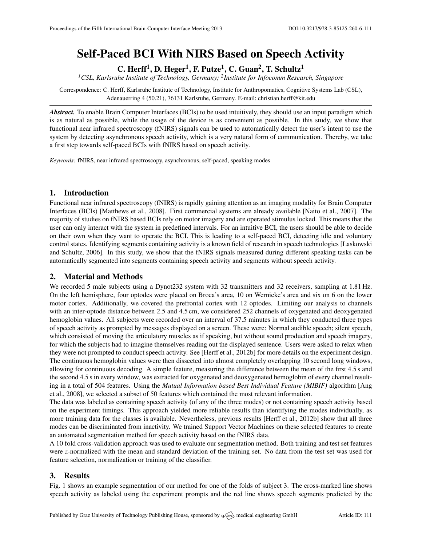# Self-Paced BCI With NIRS Based on Speech Activity

C. Herff<sup>1</sup>, D. Heger<sup>1</sup>, F. Putze<sup>1</sup>, C. Guan<sup>2</sup>, T. Schultz<sup>1</sup>

*<sup>1</sup>CSL, Karlsruhe Institute of Technology, Germany; <sup>2</sup> Institute for Infocomm Research, Singapore*

Correspondence: C. Herff, Karlsruhe Institute of Technology, Institute for Anthropomatics, Cognitive Systems Lab (CSL), Adenauerring 4 (50.21), 76131 Karlsruhe, Germany. E-mail: [christian.herff@kit.edu](mailto:christian.herff@kit.edu)

*Abstract.* To enable Brain Computer Interfaces (BCIs) to be used intuitively, they should use an input paradigm which is as natural as possible, while the usage of the device is as convenient as possible. In this study, we show that functional near infrared spectroscopy (fNIRS) signals can be used to automatically detect the user's intent to use the system by detecting asynchronous speech activity, which is a very natural form of communication. Thereby, we take a first step towards self-paced BCIs with fNIRS based on speech activity.

*Keywords:* fNIRS, near infrared spectroscopy, asynchronous, self-paced, speaking modes

### 1. Introduction

Functional near infrared spectroscopy (fNIRS) is rapidly gaining attention as an imaging modality for Brain Computer Interfaces (BCIs) [\[Matthews et al.,](#page-1-0) [2008\]](#page-1-0). First commercial systems are already available [\[Naito et al.,](#page-1-1) [2007\]](#page-1-1). The majority of studies on fNIRS based BCIs rely on motor imagery and are operated stimulus locked. This means that the user can only interact with the system in predefined intervals. For an intuitive BCI, the users should be able to decide on their own when they want to operate the BCI. This is leading to a self-paced BCI, detecting idle and voluntary control states. Identifying segments containing activity is a known field of research in speech technologies [\[Laskowski](#page-1-2) [and Schultz,](#page-1-2) [2006\]](#page-1-2). In this study, we show that the fNIRS signals measured during different speaking tasks can be automatically segmented into segments containing speech activity and segments without speech activity.

## 2. Material and Methods

We recorded 5 male subjects using a Dynot232 system with 32 transmitters and 32 receivers, sampling at 1.81 Hz. On the left hemisphere, four optodes were placed on Broca's area, 10 on Wernicke's area and six on 6 on the lower motor cortex. Additionally, we covered the prefrontal cortex with 12 optodes. Limiting our analysis to channels with an inter-optode distance between 2.5 and 4.5 cm, we considered 252 channels of oxygenated and deoxygenated hemoglobin values. All subjects were recorded over an interval of 37.5 minutes in which they conducted three types of speech activity as prompted by messages displayed on a screen. These were: Normal audible speech; silent speech, which consisted of moving the articulatory muscles as if speaking, but without sound production and speech imagery, for which the subjects had to imagine themselves reading out the displayed sentence. Users were asked to relax when they were not prompted to conduct speech activity. See [\[Herff et al.,](#page-1-3) [2012b\]](#page-1-3) for more details on the experiment design. The continuous hemoglobin values were then dissected into almost completely overlapping 10 second long windows, allowing for continuous decoding. A simple feature, measuring the difference between the mean of the first 4.5 s and the second 4.5 s in every window, was extracted for oxygenated and deoxygenated hemoglobin of every channel resulting in a total of 504 features. Using the *Mutual Information based Best Individual Feature (MIBIF)* algorithm [\[Ang](#page-1-4) [et al.,](#page-1-4) [2008\]](#page-1-4), we selected a subset of 50 features which contained the most relevant information.

The data was labeled as containing speech activity (of any of the three modes) or not containing speech activity based on the experiment timings. This approach yielded more reliable results than identifying the modes individually, as more training data for the classes is available. Nevertheless, previous results [\[Herff et al.,](#page-1-3) [2012b\]](#page-1-3) show that all three modes can be discriminated from inactivity. We trained Support Vector Machines on these selected features to create an automated segmentation method for speech activity based on the fNIRS data.

A 10 fold cross-validation approach was used to evaluate our segmentation method. Both training and test set features were *z*-normalized with the mean and standard deviation of the training set. No data from the test set was used for feature selection, normalization or training of the classifier.

### 3. Results

Fig. [1](#page-1-5) shows an example segmentation of our method for one of the folds of subject 3. The cross-marked line shows speech activity as labeled using the experiment prompts and the red line shows speech segments predicted by the